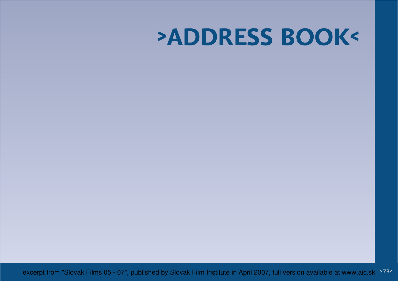# **>ADDRESS BOOK<**

excerpt from "Slovak Films 05 - 07", published by Slovak Film Institute in April 2007, full version available at www.aic.sk >73<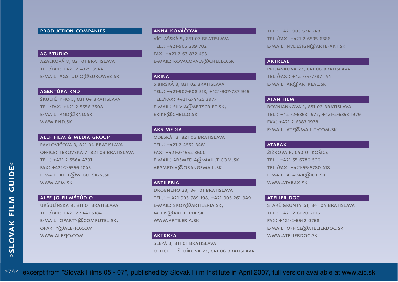## production companies

#### ag studio

 azalková 8, 821 01 bratislavatel./fax: +421-2-4329 3544E-MAIL: AGSTUDIO $@$ EUROWEB.SK

## agentúra rnd

 škultétyho 5, 831 04 bratislavatel./fax: +421-2-5556 3508e-mail: rnd@rnd.skwww.rnd.sk

## alef film **&** media group

pavlovičova 3, 821 04 bratislava office: tekovská 7, 821 09 bratislavatel.: +421-2-5564 4791fax: +421-2-5556 1045e-mail: alef@webdesign.skwww.afm.sk

## alef jo filmštúdio

 uršulínska 9, 811 01 bratislavatel./fax: +421-2-5441 5184e-mail: oparty@computel.sk,oparty@alefjo.comwww.alefjo.com

## anna kováčová

 vígľašská 5, 851 07 bratislavatel.: +421-905 239 702fax: +421-2-63 832 493e-mail: kovacova.a@chello.sk

## arina

 sibirská 3, 831 02 bratislavatel.: +421-907-608 513, +421-907-787 945tel./fax: +421-2-4425 3977E-MAIL: SILVIA@ARTSCRIPT<mark>.</mark>SK, erikp@chello.sk

## **ARS MEDIA**

 odeská 13, 821 06 bratislavatel.: +421-2-4552 3481fax: +421-2-4552 3600 $E$ -MAIL: ARSMEDIA $@$ MAIL.T-COM.SK, arsmedia@orangemail.sk

## artileria

 drobného 23, 841 01 bratislavatel.: + 421-903-789 198, +421-905-261 949e-mail: skop@artileria.sk, melis@artileria.skwww.artileria.sk

## **ARTKREA**

 slepá 3, 811 01 bratislavaoffice: tešedíkova 23, 841 06 bratislava

tel.: +421-903-574 248 tel./fax: +421-2-6595 6386e-mail: nvdesign@artefakt.sk

#### **ARTREAL**

 prídavkova 27, 841 06 bratislavatel./fax.: +421-34-7787 144e-mail: ar@artreal.sk

#### atan film

 rovniankova 1, 851 02 bratislavatel.: +421-2-6353 1977, +421-2-6353 1979fax: +421-2-6383 1978e-mail: atf@mail.t-com.sk

## **ATARAX**

 žižkova 6, 040 01 košicetel.: +421-55-6780 500 tel./fax: +421-55-6780 418e-mail: atarax@iol.skwww.atarax.sk

#### ATELIER.DOC

 staré grunty 61, 841 04 bratislavatel.: +421-2-6020 2016fax: +421-2-6542 0768 $E$ -MAIL: OFFICE $@$ ATELIERDOC.SK www.atelierdoc.sk

 $>74<$ excerpt from "Slovak Films 05 - 07", published by Slovak Film Institute in April 2007, full version available at www.aic.sk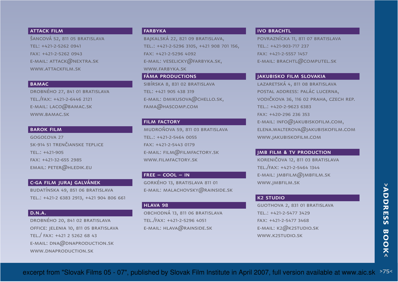## **ATTACK FILM**

 šancová 52, 811 05 bratislavatel: +421-2-5262 0941fax: +421-2-5262 0943e-mail: attack@nextra.skwww.attackfilm.sk

#### **BAMAC**

drobného 27, 841 01 bratislavatel./fax: +421-2-6446 2121 e-mail: laco@bamac.skwww.bamac.sk

## barok film

 gogoľova 27 sk-914 51 trenčianske tepliceTEL.: +421-905 fax: +421-32-655 2985email: peter@hledik.eu

## c-ga film juraj galvánek

 budatínska 49, 851 06 bratislavatel.: +421-2 6383 2913, +421 904 806 661

## D.N.A.

drobného 20, 841 02 bratislava office: jelenia 10, 811 05 bratislavatel./ fax: +421 2 5262 68 43e-mail: dna@dnaproduction.skwww.dnaproduction.sk

## farbyka

 bajkalská 22, 821 09 bratislava,tel.: +421-2-5296 3105, +421 908 701 156,fax: +421-2-5296 4092E-MAIL: VESELICKY $@$ FARBYKA.SK, www.farbyka.sk

# fáma productions

sibírska 8, 831 02 bratislavatel: +421 905 438 319 e-mail: dmikusova@chello.sk, fama@hascomp.com

## **FILM FACTORY**

 mudroňova 59, 811 03 bratislavatel.: +421-2-5464 0055fax: +421-2-5443 0179e-mail: film@filmfactory.skwww.filmfactory.sk

#### $FREE - COOL - IN$

 gorkého 13, bratislava 811 01e-mail: malachovsky@rainside.sk

#### hlava 98

 obchodná 13, 811 06 bratislavatel./fax: +421-2-5296 4051e-mail: hlava@rainside.sk

#### IVO BRACHTL

 povraznícka 11, 811 07 bratislavatel.: +421-903-717 237fax: +421-2-5557 1457E-MAIL: BRACHTL@COMPUTEL.SK

## jakubisko film slovakia

 lazaretská 4, 811 08 bratislava postal address: palác lucerna, vodičkova 36, 116 02 praha, czech rep.tel.: +420-2-9623 6383fax: +420-296 236 353e-mail: info@jakubiskofilm.com, elena.walterova@jakubiskofilm.comwww.jakubiskofilm.com

## jmb film **&** tv production

 koreničova 12, 811 03 bratislavatel./fax: +421-2-5464 1344e-mail: jmbfilm@jmbfilm.skwww.jmbfilm.sk

## k2 studio

 guothova 2, 831 01 bratislavatel.: +421-2-5477 3429fax: +421-2-5477 3468E-MAIL: K2 $@$ K2STUDIO.SK www.k2studio.sk

#### >75<excerpt from "Slovak Films 05 - 07", published by Slovak Film Institute in April 2007, full version available at www.aic.sk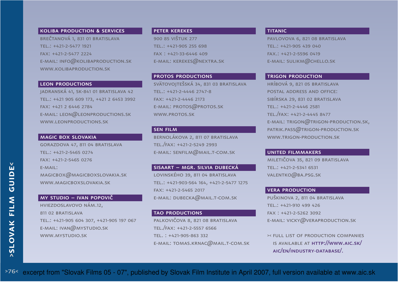# koliba production **&** services

brečtanová 1, 831 01 bratislavatel.: +421-2-5477 1921fax: +421-2-5477 2224E-MAIL: INFO $@$ KOLIBAPRODUCTION.SK www.kolibaproduction.sk

#### **LEON PRODUCTIONS**

 jadranská 41, sk-841 01 bratislava 42tel.: +421 905 609 173, +421 2 6453 3992fax: +421 2 6446 2784e-mail: leon@leonproductions.skwww.leonproductions.sk

## magic box slovakia

 gorazdova 47, 811 04 bratislavatel.: +421-2-5465 0274fax: +421-2-5465 0276 $F-MAIII$ : magicbox@magicboxslovakia.skwww.magicboxslovakia.sk

## my studio – ivan popovič

hviezdoslavovo nám.12, 811 02 BRATISLAVA tel.: +421-905 604 307, +421-905 197 067e-mail: ivan@mystudio.skwww.mystudio.sk

#### peter kerekes

 900 85 vištuk 277tel.: +421-905 255 698fax : +421-33-6446 409E-MAIL: KEREKES@NEXTRA<mark>.</mark>SK

protos productions svätovojtešská 34, 831 03 bratislavatel.: +421-2-4446 2747-8fax: +421-2-4446 2173e-mail: protos@protos.skwww.protos.sk

#### sen film

 bernolákova 2, 811 07 bratislavatel./fax: +421-2-5249 2993e-mail: senfilm@mail.t-com.sk

## sisaart – mgr. silvia dubecká

 lovinského 39, 811 04 bratislavatel.: +421-903-564 164, +421-2-5477 1275fax: +421-2-5465 2017e-mail: dubecka@mail.t-com.sk

## TAO PRODUCTIONS

palkovičova 8, 821 08 bratislavatel./fax: +421-2-5557 6566tel. : +421-905-863 332e-mail: tomas.krnac@mail.t-com.sk

#### **TITANIC**

 pavlovova 6, 821 08 bratislavatel.: +421-905 439 040fax.: +421-2-5596 0419E-MAIL: SULIKM@CHELLO.SK

#### **TRIGON PRODUCTION**

 hríbová 9, 821 05 bratislavapostal address and office: sibírska 29, 831 02 bratislavatel.: +421-2-4446 2581tel./fax: +421-2-4445 8477e-mail: trigon@trigon-production.sk,patrik.pass@trigon-production.skwww.trigon-production.sk

#### united filmmakers

 miletičova 35, 821 09 bratislavatel.: +421-2-5341 6531valentko@ba.psg.sk

#### vera production

 puškinova 2, 811 04 bratislavatel.: +421-910 499 426 fax : +421-2-5262 3092e-mail: vicky@veraproduction.sk

>< full list of production companies is available at http://www.aic.sk/aic/en/industry-database/.

>76< excerpt from "Slovak Films 05 - 07", published by Slovak Film Institute in April 2007, full version available at www.aic.sk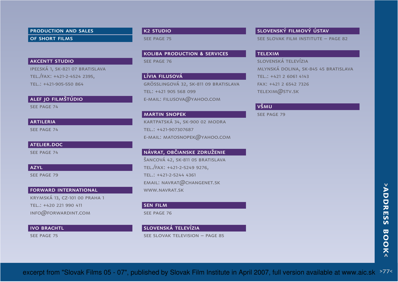production and sales of short films

## **AKCENTT STUDIO**

 ipeľská 1, sk-821 07 bratislavatel./fax: +421-2-4524 2395, tel.: +421-905-550 864

ALEF JO FILMŠTÚDIO

see page 74

#### **ARTILERIA**

see page 74

## atelier.doc

see page 74

#### azyl

SEE PAGE 79

#### forward international

krymská 13, cz-101 00 praha 1tel.: +420 221 990 411info@forwardint.com

## **IVO BRACHTL**

see page 75

## k2 studio

see page 75

koliba production **&** services

see page 76

## lívia filusová

 grösslingová 32, sk-811 09 bratislavatel: +421 905 568 099e-mail: filusova@yahoo.com

#### martin snopek

 kartpatská 34, sk-900 02 modratel.: +421-907307687e-mail: matosnopek@yahoo.com

## návrat, občianske združeniešancová 42, sk-811 05 bratislava

tel./fax: +421-2-5249 9276, tel.: +421-2-5244 4361email: navrat@changenet.skwww.navrat.sk

#### sen film

see page 76

## slovenská televízia

see slovak television – page 85

## slovenský filmový ústav

see slovak film institute – page 82

#### telexim

 slovenská televízia mlynská dolina, sk-845 45 bratislavatel.: +421 2 6061 4143fax: +421 2 6542 7326telexim@stv.sk

## všmu

see page 79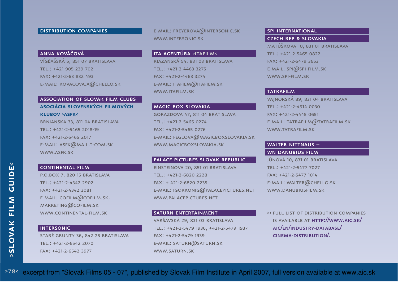## DISTRIBUTION COMPANIES

## anna kováčová

 vígľašská 5, 851 07 bratislavatel.: +421-905 239 702fax: +421-2-63 832 493e-mail: kovacova.a@chello.sk

## association of slovak film clubs **asociácia slovenských filmovýchklubov >asfk<** brnianska 33, 811 04 bratislava

tel.: +421-2-5465 2018-19fax: +421-2-5465 2017e-mail: asfk@mail.t-com.skwww.asfk.sk

#### continental film

 p.o.box 7, 820 15 bratislavatel.: +421-2-4342 2902fax: +421-2-4342 3081e-mail: cofilm@cofilm.sk, marketing@cofilm.skwww.continental-film.sk

#### INTERSONIC

 staré grunty 36, 842 25 bratislavatel.: +421-2-6542 2070fax: +421-2-6542 3977

e-mail: freyerova@intersonic.skwww.intersonic.sk

## ITA AGENTÚRA >ITAFILM<

 riazanská 54, 831 03 bratislavatel.: +421-2-4463 3275fax: +421-2-4463 3274 e-mail: itafilm@itafilm.skwww.itafilm.sk

## magic box slovakia

 gorazdova 47, 811 04 bratislavatel.: +421-2-5465 0274fax: +421-2-5465 0276E-MAIL: FEGLOVA@MAGICBOXSLOVAKIA<mark>.</mark>SK www.magicboxslovakia.sk

#### palace pictures slovak republic

einsteinova 20, 851 01 bratislavatel.: +421-2-6820 2228 fax: + 421-2-6820 2235e-mail: igorkonig@palacepictures.net www.palacepictures.net

## saturn entertainment varšavská 29, 831 03 bratislava tel.: +421-2-5479 1936, +421-2-5479 1937fax: +421-2-5479 1939e-mail: saturn@saturn.skwww.saturn.sk

#### spi international

## czech rep **&** slovakia

matúškova 10, 831 01 bratislavatel.: +421-2-5465 0822fax: +421-2-5479 3653e-mail: spi@spi-film.skwww.spi-film.sk

#### **TATRAFILM**

 vajnorská 89, 831 04 bratislavatel.: +421-2-4914 0030fax: +421-2-4445 0651e-mail: tatrafilm@tatrafilm.skwww.tatrafilm.sk

## walter nittnaus –

wn danubius film júnová 10, 831 01 bratislavatel.: +421-2-5477 7027fax: +421-2-5477 1014e-mail: walter@chello.skwww.danubiusfilm.sk

>< full list of distribution companies is available at http://www.aic.sk/aic/en/industry-database/cinema-distribution/.

>78< excerpt from "Slovak Films 05 - 07", published by Slovak Film Institute in April 2007, full version available at www.aic.sk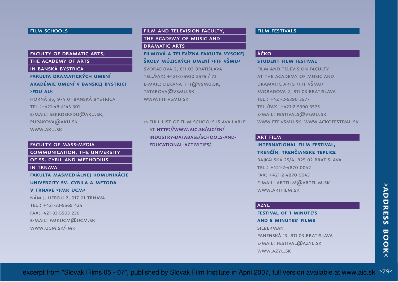## **FILM SCHOOLS**

# faculty of dramatic arts,

the academy of arts

## in banská bystrica

# **fakulta dramatických umení akadémie umení v banskej bystrici>fdu au<**

 horná 95, 974 01 banská bystricatel.:+421-48-4143 301e-mail: sekrdekfdu@aku.sk, pupakova@aku.skwww.aku.sk

## faculty of mass-media

communication, the university

of ss. cyril and methodius

#### in trnava

 **fakulta masmediálnej komunikácieuniverzity sv. cyrila a metoda v trnave >fmk ucm<**nám j. herdu 2, 917 01 trnava

tel.: +421-33-5565 424

fax:+421-33-5503 236

e-mail: fmkucm@ucm.skWWW.UCM.SK/FMK

## film and television faculty, the academy of music and DRAMATIC ARTS

## **filmová a televízna fakulta vysokejškoly múzických umení >ftf všmu<**

svoradova 2, 811 03 bratislavatel./fax: +421-2-5930 3575 / 73 $E$ -MAIL: DEKANATFTF $@$ VSMU.SK, tatarova@vsmu.skwww.ftf.vsmu.sk

>< full list of film schools is available at http://www.aic.sk/aic/en/ industry-database/schools-andeducational-activities/.

## film festivals

## **L**áčko

#### **student film festival**

film and television faculty at the academy of music and dramatic arts >ftf všmu<svoradova 2, 811 03 bratislavatel.: +421-2-5390 3577 tel./fax: +421-2-5390 3575E-MAIL: FESTIVALS $@$ VSMU.SK www.ftf.vsmu.sk, www.ackofestival.sk

## art film

## **international film festival, trenčín, trenčianske teplice** bajkalská 25/a, 825 02 bratislavatel.: +421-2-4870 0042

fax: +421-2-4870 0043e-mail: artfilm@artfilm.skwww.artfilm.sk

#### azyl

**festival of 1 minute's and 5 minutes' filmsSILBERMAN**  panenská 13, 811 03 bratislavae-mail: festival@azyl.skwww.azyl.sk

#### >79<excerpt from "Slovak Films 05 - 07", published by Slovak Film Institute in April 2007, full version available at www.aic.sk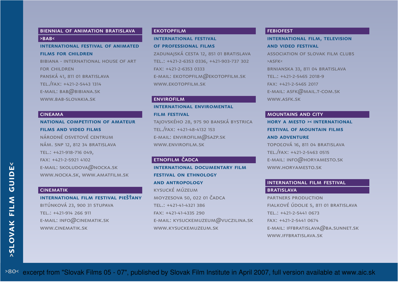## biennial of animation bratislava $>BAB<$

## **international festival of animatedfilms for children**

 bibiana - international house of artfor children panská 41, 811 01 bratislavatel./fax: +421-2-5443 1314E-MAIL:  $\texttt{BAB@BBIANA.SK}$ www.bab-slovakia.sk

#### **CINEAMA**

 **national competition of amateurfilms and video films** národné osvetové centrum nám. snp 12, 812 34 bratislavatel.: +421-918-716 049,fax: +421-2-5921 4102 e-mail: skoludova@nocka.skwww.nocka.sk, www.amatfilm.sk

## cinematik

## **international film festival piešťany**

bitúnková 23, 900 31 stupavatel.: +421-914 266 911e-mail: info@cinematik.skwww.cinematik.sk

## **EKOTOPFILM**

#### **international festival of professional films**

 zadunajská cesta 12, 851 01 bratislava tel.: +421-2-6353 0336, +421-903-737 302fax: +421-2-6353 0333e-mail: ekotopfilm@ekotopfilm.skwww.ekotopfilm.sk

#### **ENVIROFILM**

## **international enviromental film festival**

 tajovského 28, 975 90 banská bystricatel./fax: +421-48-4132 153E-MAIL: ENVIROFILM $@$ SAZP.SK www.envirofilm.sk

## ETNOFILM ČADCA

**international documentary film festival on ethnology and antropology**kysucké múzeum moyzesova 50, 022 01 čadcatel.: +421-41-4321 386fax: +421-41-4335 290E-MAIL: KYSUCKEMUZEUM $@$ VUCZILINA.SK www.kysuckemuzeum.sk

#### **FEBIOFEST**

# **international film, television and video festival**association of slovak film clubs>asfk<brnianska 33, 811 04 bratislavatel.: +421-2-5465 2018-9fax: +421-2-5465 2017

e-mail: asfk@mail.t-com.sk

www.asfk.sk

#### mountains and city

# **hory a mesto >< international festival of mountain films and adventure**

 topoľová 16, 811 04 bratislavatel./fax: +421-2-5463 0515e-mail: info@horyamesto.skwww.horyamesto.sk

# international film festival

#### **BRATISLAVA**

 partners production fialkové údolie 5, 811 01 bratislavatel.: +421-2-5441 0673fax: +421-2-5441 0674E-MAIL: IFFBRATISLAVA $@$ BA.SUNNET.SK www.iffbratislava.sk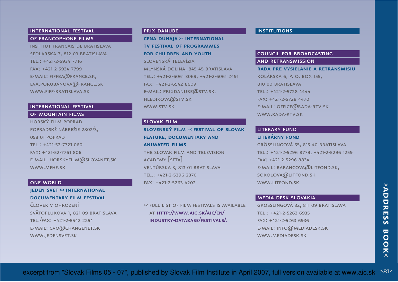## international festival of francophone films

institut francais de bratislavasedlárska 7, 812 03 bratislavatel.: +421-2-5934 7716fax: +421-2-5934 7799 $E$ -MAIL: FIFFBA $@$ FRANCE.SK, eva.porubanova@france.skwww.fiff-bratislava.sk

#### international festival

- of mountain films
- horský film poprad popradské nábrežie 2802/3, 058 01 poprad tel.: +421-52-7721 060fax: +421-52-7761 806E-MAIL: HORSKYFILM $@$ SLOVANET.SK WWW.MFHF.SK

#### **ONE WORLD**

 **jeden svet >< international documentary film festival**

človek v ohrozenísvätoplukova 1, 821 09 bratislavatel./fax: +421-2-5542 2254 $E$ -MAIL:  $CVO@CHANGENET.SK$ www.jedensvet.sk

## prix danube

 **cena dunaja >< international tv festival of programmes for children and youth**slovenská televízia mlynská dolina, 845 45 bratislava tel.: +421-2-6061 3069, +421-2-6061 2491fax: +421-2-6542 8609E-MAIL: PRIXDANUBE $@$ STV.SK, hledikova@stv.skwww.stv.sk

#### slovak film

 **slovenský film >< festival of slovak feature, documentary and animated films**the slovak film and television academy [sfta]ventúrska 3, 813 01 bratislavatel.: +421-2-5296 2370

fax: +421-2-5263 4202

>< full list of film festivals is available at http://www.aic.sk/aic/en/industry-database/festivals/.

## **INSTITUTIONS**

## council for broadcasting and retransmission

 **rada pre vysielanie a retransmisiu**kolárska 6, p. o. box 155, 810 00 BRATISLAVA tel.: +421-2-5728 4444fax: +421-2-5728 4470E-MAIL: OFFICE $@$ RADA-RTV.SK www.rada-rtv.sk

## LITERARY FUND

 **literárny fond** grösslingová 55, 815 40 bratislava tel.: +421-2-5296 8779, +421-2-5296 1259fax: +421-2-5296 8834 $E$ -MAIL: BARANCOVA $@$ LITFOND.SK, sokolova@litfond.skwww.litfond.sk

## media desk slovakia

 grösslingová 32, 811 09 bratislavatel.: +421-2-5263 6935fax: +421-2-5263 6936E-MAIL: INFO $@$ MEDIADESK.SK www.mediadesk.sk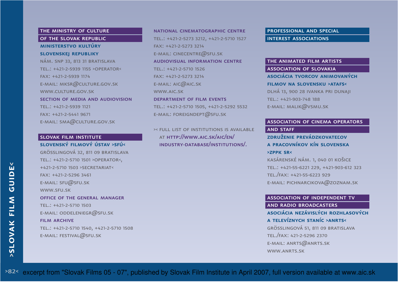## THE MINISTRY OF CULTURE of the slovak republic

# **ministerstvo kultúry**

## **slovenskej republiky**

 nám. snp 33, 813 31 bratislavatel.: +421-2-5939 1155 >operator<fax: +421-2-5939 1174 e-mail: mksr@culture.gov.skwww.culture.gov.sk section of media and audiovisiontel.: +421-2-5939 1121fax: +421-2-5441 9671e-mail: sma@culture.gov.sk

## slovak film institute**slovenský filmový ústav >sfú<**

 grösslingová 32, 811 09 bratislavatel.: +421-2-5710 1501 >operator<,+421-2-5710 1503 >secretariat<fax: +421-2-5296 3461e-mail: sfu@sfu.skwww.sfu.skoffice of the general managertel.: +421-2-5710 1503e-mail: oddeleniegr@sfu.skfilm archivetel.: +421-2-5710 1540, +421-2-5710 1508e-mail: festival@sfu.sk

national cinematographic centretel.: +421-2-5273 3212, +421-2-5710 1527fax: +421-2-5273 3214E-MAIL:  $\mathsf{CINECENTRE@SFU}$ .SK audiovisual information centretel.: +421-2-5710 1526fax: +421-2-5273 3214E-MAIL: AIC@AIC.SK www.aic.sk department of film eventstel.: +421-2-5710 1505, +421-2-5292 5532e-mail: foreigndept@sfu.sk

>< full list of institutions is available at http://www.aic.sk/aic/en/industry-database/institutions/.

professional and special interest associations

## the animated film artists

association of slovakia**asociácia tvorcov animovaných** 

**filmov na slovensku >atafs<**

 dlhá 13, 900 28 ivanka pri dunajitel.: +421-903-748 188e-mail: malik@vsmu.sk

# association of cinema operators

## and staff

 **združenie prevádzkovateľov a pracovníkov kín slovenska >zppk sr<**

 kasárenské nám. 1, 040 01 košicetel.: +421-55-6221 229, +421-903-612 323tel./fax: +421-55-6223 929E-MAIL: PICHNARCIKOVA $@$ ZOZNAM.SK

#### association of independent tv

and radio broadcasters **asociácia nezávislých rozhlasových** 

## **a televíznych staníc >anrts<**

 grösslingová 51, 811 09 bratislavatel./fax: 421-2-5296 2370E-MAIL:  $ANRTS@ANRTS$ .SK www.anrts.sk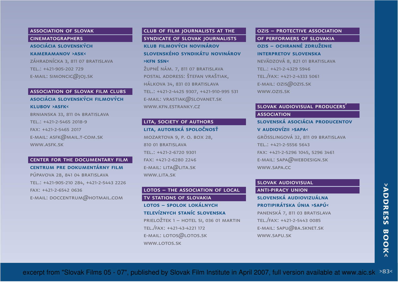## association of slovak

cinematographers

**asociácia slovenských kameramanov >ask<** záhradnícka 3, 811 07 bratislavatel.: +421-905-202 729 $E$ -MAIL: SIMONCIC $@$ JOJ.SK

## association of slovak film clubs

## **asociácia slovenských filmových klubov >asfk<**

brnianska 33, 811 04 bratislavatel.: +421-2-5465 2018-9fax: +421-2-5465 2017e-mail: asfk@mail.t-com.skwww.asfk.sk

## center for the documentary film **centrum pre dokumentárny film**

púpavova 28, 841 04 bratislavatel.: +421-905-210 284, +421-2-5443 2226fax: +421-2-6542 0636e-mail: doccentrum@hotmail.com

## club of film journalists at the syndicate of slovak journalists

**klub filmových novinárov slovenského syndikátu novinárov >kfn ssn<**

 župné nám. 7, 811 07 bratislava postal address: štefan vraštiak, hálkova 34, 831 03 bratislava tel.: +421-2-4425 9307, +421-910-995 531e-mail: vrastiak@slovanet.skwww.kfn.estranky.cz

## LITA, SOCIETY OF AUTHORS **lita, autorská spoločnosť**

mozartova 9, p. o. box 28, 810 01 BRATISLAVA tel.: +421-2-6720 9301fax: +421-2-6280 2246E-MAIL: LITA@LITA.SK www.lita.sk

## LOTOS – THE ASSOCIATION OF LOCAL tv stations of slovakia

## **lotos – spolok lokálnych televíznych staníc slovenska**

 prieložtek 1 – hotel si, 036 01 martintel./fax: +421-43-4221 172e-mail: lotos@lotos.skwww.lotos.sk

## ozis – protective association of performers of slovakia

**ozis – ochranné združenie interpretov slovenska** nevädzová 8, 821 01 bratislavatel.: +421-2-4329 5946 tel./fax: +421-2-4333 5061e-mail: ozis@ozis.skwww.ozis.sk

# slovak audiovisual producers' **ASSOCIATION slovenská asociácia producentov v audiovízii >sapa<** grösslingová 32, 811 09 bratislavatel.: +421-2-5556 5643fax: +421-2-5296 1045, 5296 3461e-mail: sapa@webdesign.skwww.sapa.cc

## slovak audiovisual anti-piracy union

 **slovenská audiovizuálna protipirátska únia >sapú<**

 panenská 7, 811 03 bratislavatel./fax: +421-2-5443 0085e-mail: sapu@ba.sknet.skwww.sapu.sk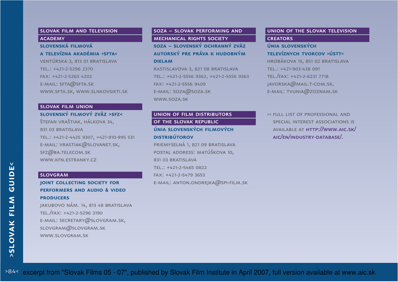## slovak film and television **ACADEMY**

## **slovenská filmová a televízna akadémia >sfta<**

 ventúrska 3, 813 01 bratislavatel.: +421-2-5296 2370fax: +421-2-5263 4202E-MAIL: SFTA@SFTA.SK www.sfta.sk, www.slnkovsieti.sk

#### slovak film union

**slovenský filmový zväz >sfz<**štefan vraštiak, hálkova 34,

831 03 bratislava tel.: +421-2-4425 9307, +421-910-995 531e-mail: vrastiak@slovanet.sk,sfz@ba.telecom.skwww.kfn.estranky.cz

#### slovgram

## **joint collecting society for performers and audio & video producers**

jakubovo nám. 14, 813 48 bratislavatel./fax: +421-2-5296 3190 e-mail: secretary@slovgram.sk, slovgram@slovgram.skwww.slovgram.sk

## soza – slovak performing and mechanical rights society

## **soza – slovenský ochranný zväz autorský pre práva k hudobnýmdielam**

 rastislavova 3, 821 08 bratislava tel.: +421-2-5556 9362, +421-2-5556 9363fax: +421-2-5556 9409E-MAIL: SOZA@SOZA.SK www.soza.sk

# union of film distributors of the slovak republic

## **únia slovenských filmových distribútorov**priemyselná 1, 821 09 bratislava

 postal address: matúškova 10, 831 03 bratislavatel.: +421-2-5465 0822fax: +421-2-5479 3653e-mail: anton.ondrejka@spi-film.sk

## union of the slovak television **CREATORS**

## **únia slovenských televíznych tvorcov >ústt<**

 hrobákova 15, 851 02 bratislavatel.: +421-903-438 091tel./fax: +421-2-6231 7718 javorska@mail.t-com.sk, e-mail: tvunia@zoznam.sk

>< full list of professional and special interest associations is available at http://www.aic.sk/aic/en/industry-database/.

>84< excerpt from "Slovak Films 05 - 07", published by Slovak Film Institute in April 2007, full version available at www.aic.sk